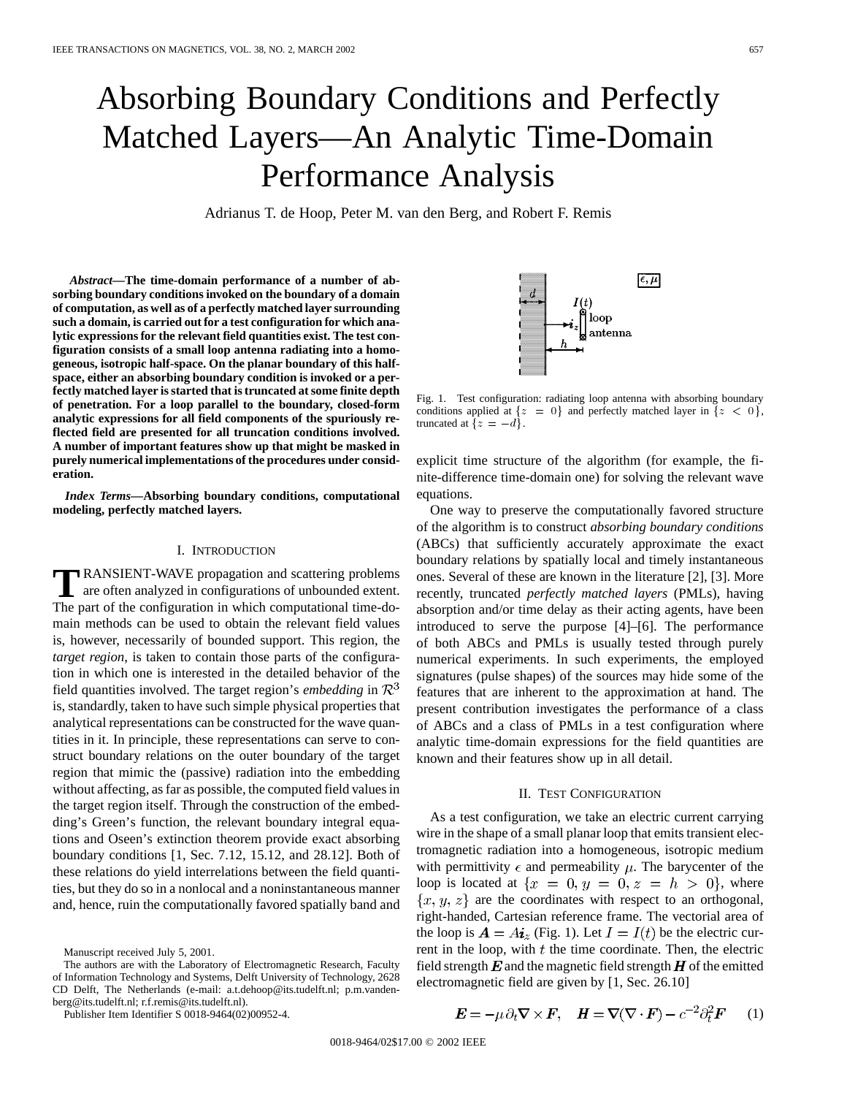# Absorbing Boundary Conditions and Perfectly Matched Layers—An Analytic Time-Domain Performance Analysis

Adrianus T. de Hoop, Peter M. van den Berg, and Robert F. Remis

*Abstract—***The time-domain performance of a number of absorbing boundary conditions invoked on the boundary of a domain of computation, as well as of a perfectly matched layer surrounding such a domain, is carried out for a test configuration for which analytic expressions for the relevant field quantities exist. The test configuration consists of a small loop antenna radiating into a homogeneous, isotropic half-space. On the planar boundary of this halfspace, either an absorbing boundary condition is invoked or a perfectly matched layer is started that is truncated at some finite depth of penetration. For a loop parallel to the boundary, closed-form analytic expressions for all field components of the spuriously reflected field are presented for all truncation conditions involved. A number of important features show up that might be masked in purely numerical implementations of the procedures under consideration.**

*Index Terms—***Absorbing boundary conditions, computational modeling, perfectly matched layers.**

### I. INTRODUCTION

**T**RANSIENT-WAVE propagation and scattering problems are often analyzed in configurations of unbounded extent. The part of the configuration in which computational time-domain methods can be used to obtain the relevant field values is, however, necessarily of bounded support. This region, the *target region*, is taken to contain those parts of the configuration in which one is interested in the detailed behavior of the field quantities involved. The target region's *embedding* in  $\mathbb{R}^3$ is, standardly, taken to have such simple physical properties that analytical representations can be constructed for the wave quantities in it. In principle, these representations can serve to construct boundary relations on the outer boundary of the target region that mimic the (passive) radiation into the embedding without affecting, as far as possible, the computed field values in the target region itself. Through the construction of the embedding's Green's function, the relevant boundary integral equations and Oseen's extinction theorem provide exact absorbing boundary conditions [1, Sec. 7.12, 15.12, and 28.12]. Both of these relations do yield interrelations between the field quantities, but they do so in a nonlocal and a noninstantaneous manner and, hence, ruin the computationally favored spatially band and

Publisher Item Identifier S 0018-9464(02)00952-4.



Fig. 1. Test configuration: radiating loop antenna with absorbing boundary conditions applied at  $\{z = 0\}$  and perfectly matched layer in  $\{z < 0\},$ truncated at  $\{z = -d\}.$ 

explicit time structure of the algorithm (for example, the finite-difference time-domain one) for solving the relevant wave equations.

One way to preserve the computationally favored structure of the algorithm is to construct *absorbing boundary conditions* (ABCs) that sufficiently accurately approximate the exact boundary relations by spatially local and timely instantaneous ones. Several of these are known in the literature [2], [3]. More recently, truncated *perfectly matched layers* (PMLs), having absorption and/or time delay as their acting agents, have been introduced to serve the purpose [4]–[6]. The performance of both ABCs and PMLs is usually tested through purely numerical experiments. In such experiments, the employed signatures (pulse shapes) of the sources may hide some of the features that are inherent to the approximation at hand. The present contribution investigates the performance of a class of ABCs and a class of PMLs in a test configuration where analytic time-domain expressions for the field quantities are known and their features show up in all detail.

## II. TEST CONFIGURATION

As a test configuration, we take an electric current carrying wire in the shape of a small planar loop that emits transient electromagnetic radiation into a homogeneous, isotropic medium with permittivity  $\epsilon$  and permeability  $\mu$ . The barycenter of the loop is located at  $\{x = 0, y = 0, z = h > 0\}$ , where  $\{x, y, z\}$  are the coordinates with respect to an orthogonal, right-handed, Cartesian reference frame. The vectorial area of the loop is  $\mathbf{A} = A \mathbf{i}_z$  (Fig. 1). Let  $I = I(t)$  be the electric current in the loop, with  $t$  the time coordinate. Then, the electric field strength  $E$  and the magnetic field strength  $H$  of the emitted electromagnetic field are given by [1, Sec. 26.10]

$$
\boldsymbol{E} = -\mu \, \partial_t \nabla \times \boldsymbol{F}, \quad \boldsymbol{H} = \nabla (\nabla \cdot \boldsymbol{F}) - c^{-2} \partial_t^2 \boldsymbol{F} \qquad (1)
$$

Manuscript received July 5, 2001.

The authors are with the Laboratory of Electromagnetic Research, Faculty of Information Technology and Systems, Delft University of Technology, 2628 CD Delft, The Netherlands (e-mail: a.t.dehoop@its.tudelft.nl; p.m.vandenberg@its.tudelft.nl; r.f.remis@its.tudelft.nl).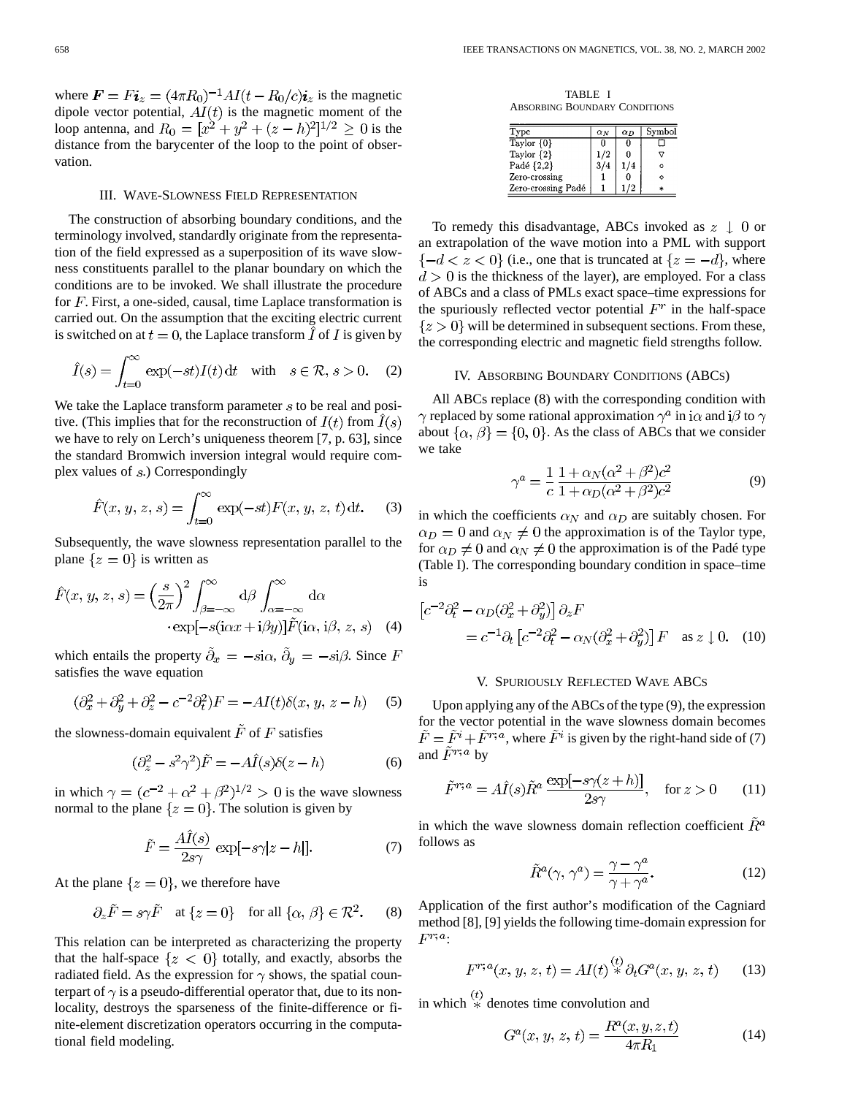where  $\mathbf{F} = F \mathbf{i}_z = (4\pi R_0)^{-1} A I (t - R_0/c) \mathbf{i}_z$  is the magnetic dipole vector potential,  $AI(t)$  is the magnetic moment of the loop antenna, and  $R_0 = [x^2 + y^2 + (z - h)^2]^{1/2} \ge 0$  is the distance from the barycenter of the loop to the point of observation.

### III. WAVE-SLOWNESS FIELD REPRESENTATION

The construction of absorbing boundary conditions, and the terminology involved, standardly originate from the representation of the field expressed as a superposition of its wave slowness constituents parallel to the planar boundary on which the conditions are to be invoked. We shall illustrate the procedure for  $F$ . First, a one-sided, causal, time Laplace transformation is carried out. On the assumption that the exciting electric current is switched on at  $t = 0$ , the Laplace transform  $\overline{I}$  of  $\overline{I}$  is given by

$$
\hat{I}(s) = \int_{t=0}^{\infty} \exp(-st)I(t) dt \quad \text{with} \quad s \in \mathcal{R}, s > 0. \quad (2)
$$

We take the Laplace transform parameter  $s$  to be real and positive. (This implies that for the reconstruction of  $I(t)$  from  $\hat{I}(s)$ ) we have to rely on Lerch's uniqueness theorem [7, p. 63], since the standard Bromwich inversion integral would require complex values of  $s$ .) Correspondingly

$$
\hat{F}(x, y, z, s) = \int_{t=0}^{\infty} \exp(-st) F(x, y, z, t) dt.
$$
 (3)

Subsequently, the wave slowness representation parallel to the plane  $\{z=0\}$  is written as

$$
\hat{F}(x, y, z, s) = \left(\frac{s}{2\pi}\right)^2 \int_{\beta=-\infty}^{\infty} d\beta \int_{\alpha=-\infty}^{\infty} d\alpha
$$

$$
\cdot \exp[-s(i\alpha x + i\beta y)] \tilde{F}(i\alpha, i\beta, z, s) \quad (4)
$$

which entails the property  $\tilde{\partial}_x = -s\mathbf{i}\alpha$ ,  $\tilde{\partial}_y = -s\mathbf{i}\beta$ . Since F satisfies the wave equation

$$
(\partial_x^2 + \partial_y^2 + \partial_z^2 - c^{-2}\partial_t^2)F = -AI(t)\delta(x, y, z - h)
$$
 (5)

the slowness-domain equivalent  $\tilde{F}$  of F satisfies

$$
(\partial_z^2 - s^2 \gamma^2)\tilde{F} = -A\hat{I}(s)\delta(z - h)
$$
 (6)

in which  $\gamma = (c^{-2} + \alpha^2 + \beta^2)^{1/2} > 0$  is the wave slowness normal to the plane  $\{z=0\}$ . The solution is given by

$$
\tilde{F} = \frac{A\hat{I}(s)}{2s\gamma} \exp[-s\gamma|z - h|].\tag{7}
$$

At the plane  $\{z=0\}$ , we therefore have

$$
\partial_z \tilde{F} = s\gamma \tilde{F}
$$
 at  $\{z = 0\}$  for all  $\{\alpha, \beta\} \in \mathbb{R}^2$ . (8)

This relation can be interpreted as characterizing the property that the half-space  $\{z \leq 0\}$  totally, and exactly, absorbs the radiated field. As the expression for  $\gamma$  shows, the spatial counterpart of  $\gamma$  is a pseudo-differential operator that, due to its nonlocality, destroys the sparseness of the finite-difference or finite-element discretization operators occurring in the computational field modeling.

TABLE I ABSORBING BOUNDARY CONDITIONS

| Type               | $\alpha_N$ | $\alpha_D$ | Symbol |
|--------------------|------------|------------|--------|
| Taylor $\{0\}$     | O          |            |        |
| Taylor $\{2\}$     | 1/2        |            |        |
| Padé {2,2}         |            |            | Ω      |
| Zero-crossing      |            |            |        |
| Zero-crossing Padé |            |            |        |

To remedy this disadvantage, ABCs invoked as  $z \downarrow 0$  or an extrapolation of the wave motion into a PML with support  $\{-d < z < 0\}$  (i.e., one that is truncated at  $\{z = -d\}$ , where  $d > 0$  is the thickness of the layer), are employed. For a class of ABCs and a class of PMLs exact space–time expressions for the spuriously reflected vector potential  $F<sup>r</sup>$  in the half-space  ${z > 0}$  will be determined in subsequent sections. From these, the corresponding electric and magnetic field strengths follow.

#### IV. ABSORBING BOUNDARY CONDITIONS (ABCS)

All ABCs replace (8) with the corresponding condition with  $\gamma$  replaced by some rational approximation  $\gamma^a$  in i $\alpha$  and i $\beta$  to  $\gamma$ about  $\{\alpha, \beta\} = \{0, 0\}$ . As the class of ABCs that we consider we take

$$
\gamma^{a} = \frac{1}{c} \frac{1 + \alpha_{N} (\alpha^{2} + \beta^{2}) c^{2}}{1 + \alpha_{D} (\alpha^{2} + \beta^{2}) c^{2}} \tag{9}
$$

in which the coefficients  $\alpha_N$  and  $\alpha_D$  are suitably chosen. For  $\alpha_D = 0$  and  $\alpha_N \neq 0$  the approximation is of the Taylor type, for  $\alpha_D \neq 0$  and  $\alpha_N \neq 0$  the approximation is of the Padé type (Table I). The corresponding boundary condition in space–time is

$$
\begin{aligned} \left[c^{-2}\partial_t^2 - \alpha_D(\partial_x^2 + \partial_y^2)\right]\partial_z F \\ &= c^{-1}\partial_t \left[c^{-2}\partial_t^2 - \alpha_N(\partial_x^2 + \partial_y^2)\right]F \quad \text{as } z \downarrow 0. \end{aligned} \tag{10}
$$

#### V. SPURIOUSLY REFLECTED WAVE ABCS

Upon applying any of the ABCs of the type (9), the expression for the vector potential in the wave slowness domain becomes  $\tilde{F} = \tilde{F}^i + \tilde{F}^{r,a}$ , where  $\tilde{F}^i$  is given by the right-hand side of (7) and  $\tilde{F}^{r; a}$  by

$$
\tilde{F}^{r;a} = A\hat{I}(s)\tilde{R}^a \frac{\exp[-s\gamma(z+h)]}{2s\gamma}, \quad \text{for } z > 0 \tag{11}
$$

in which the wave slowness domain reflection coefficient  $\tilde{R}^a$ follows as

$$
\tilde{R}^a(\gamma, \gamma^a) = \frac{\gamma - \gamma^a}{\gamma + \gamma^a}.\tag{12}
$$

Application of the first author's modification of the Cagniard method [8], [9] yields the following time-domain expression for  $F^{r; a}$ :

$$
F^{r;a}(x, y, z, t) = AI(t) \stackrel{(t)}{*} \partial_t G^a(x, y, z, t) \tag{13}
$$

in which  $\stackrel{(t)}{*}$  denotes time convolution and

$$
G^{a}(x, y, z, t) = \frac{R^{a}(x, y, z, t)}{4\pi R_{1}}
$$
\n(14)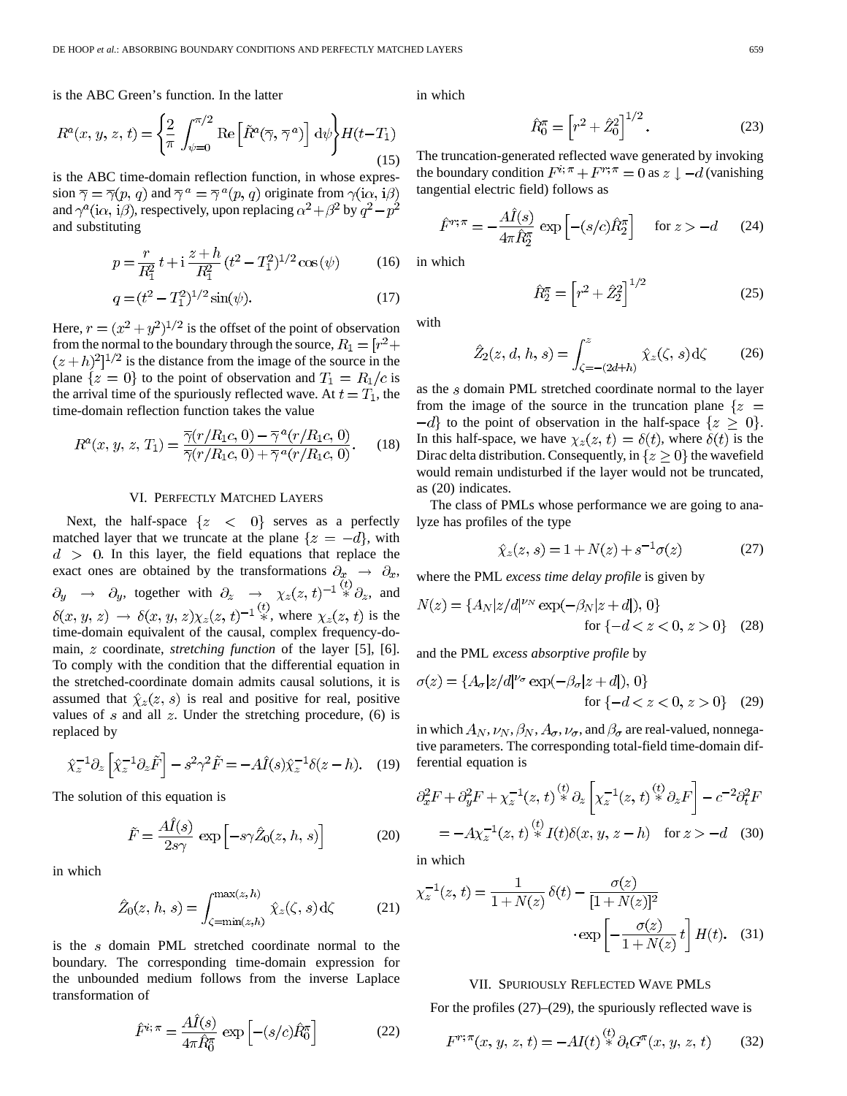is the ABC Green's function. In the latter

$$
R^{a}(x, y, z, t) = \left\{ \frac{2}{\pi} \int_{\psi=0}^{\pi/2} \text{Re}\left[\tilde{R}^{a}(\overline{\gamma}, \overline{\gamma}^{a})\right] d\psi \right\} H(t - T_{1})
$$
\n(15)

is the ABC time-domain reflection function, in whose expression  $\overline{\gamma} = \overline{\gamma}(p, q)$  and  $\overline{\gamma}^a = \overline{\gamma}^a(p, q)$  originate from  $\gamma(i\alpha, i\beta)$ and  $\gamma^a(i\alpha, i\beta)$ , respectively, upon replacing  $\alpha^2 + \beta^2$  by  $q^2 - p^2$ and substituting

$$
p = \frac{r}{R_1^2} t + i \frac{z + h}{R_1^2} (t^2 - T_1^2)^{1/2} \cos(\psi)
$$
 (16)

$$
q = (t^2 - T_1^2)^{1/2} \sin(\psi). \tag{17}
$$

Here,  $r = (x^2 + y^2)^{1/2}$  is the offset of the point of observation from the normal to the boundary through the source,  $R_1 = [r^2 +$  $(z+h)^2$ <sup>1/2</sup> is the distance from the image of the source in the plane  $\{z = 0\}$  to the point of observation and  $T_1 = R_1/c$  is the arrival time of the spuriously reflected wave. At  $t = T_1$ , the time-domain reflection function takes the value

$$
R^{a}(x, y, z, T_{1}) = \frac{\overline{\gamma}(r/R_{1}c, 0) - \overline{\gamma}^{a}(r/R_{1}c, 0)}{\overline{\gamma}(r/R_{1}c, 0) + \overline{\gamma}^{a}(r/R_{1}c, 0)}.
$$
 (18)

## VI. PERFECTLY MATCHED LAYERS

Next, the half-space  $\{z \leq 0\}$  serves as a perfectly matched layer that we truncate at the plane  $\{z = -d\}$ , with  $d > 0$ . In this layer, the field equations that replace the exact ones are obtained by the transformations  $\partial_x \rightarrow \partial_x$ , , together with  $\partial_z \rightarrow \chi_z(z, t)^{-1} \ddot{\ast} \partial_z$ , and , where  $\chi_z(z, t)$  is the time-domain equivalent of the causal, complex frequency-domain, *z* coordinate, *stretching function* of the layer [5], [6]. To comply with the condition that the differential equation in the stretched-coordinate domain admits causal solutions, it is assumed that  $\hat{\chi}_z(z, s)$  is real and positive for real, positive values of s and all z. Under the stretching procedure,  $(6)$  is replaced by

$$
\hat{\chi}_z^{-1} \partial_z \left[ \hat{\chi}_z^{-1} \partial_z \tilde{F} \right] - s^2 \gamma^2 \tilde{F} = -A \hat{I}(s) \hat{\chi}_z^{-1} \delta(z - h). \quad (19)
$$

The solution of this equation is

$$
\tilde{F} = \frac{A\tilde{I}(s)}{2s\gamma} \exp\left[-s\gamma \hat{Z}_0(z, h, s)\right]
$$
 (20)

in which

$$
\hat{Z}_0(z, h, s) = \int_{\zeta = \min(z, h)}^{\max(z, h)} \hat{\chi}_z(\zeta, s) d\zeta
$$
 (21)

is the  $s$  domain PML stretched coordinate normal to the boundary. The corresponding time-domain expression for the unbounded medium follows from the inverse Laplace transformation of

$$
\hat{F}^{i;\pi} = \frac{A\hat{I}(s)}{4\pi \hat{R}_0^{\pi}} \exp\left[-(s/c)\hat{R}_0^{\pi}\right]
$$
\n(22)

in which

$$
\hat{R}_0^{\pi} = \left[r^2 + \hat{Z}_0^2\right]^{1/2}.\tag{23}
$$

The truncation-generated reflected wave generated by invoking the boundary condition  $F^{i; \pi} + F^{r; \pi} = 0$  as  $z \downarrow -d$  (vanishing tangential electric field) follows as

$$
\hat{F}^{r;\pi} = -\frac{A\hat{I}(s)}{4\pi \hat{R}_2^{\pi}} \exp\left[-(s/c)\hat{R}_2^{\pi}\right] \quad \text{for } z > -d \quad (24)
$$

in which

$$
\hat{R}_2^{\pi} = \left[r^2 + \hat{Z}_2^2\right]^{1/2} \tag{25}
$$

with

$$
\hat{Z}_2(z, d, h, s) = \int_{\zeta = -(2d+h)}^z \hat{\chi}_z(\zeta, s) d\zeta
$$
 (26)

as the  $s$  domain PML stretched coordinate normal to the layer from the image of the source in the truncation plane  $\{z =$  $-d$  to the point of observation in the half-space  $\{z \geq 0\}$ . In this half-space, we have  $\chi_z(z, t) = \delta(t)$ , where  $\delta(t)$  is the Dirac delta distribution. Consequently, in  $\{z \geq 0\}$  the wavefield would remain undisturbed if the layer would not be truncated, as (20) indicates.

The class of PMLs whose performance we are going to analyze has profiles of the type

$$
\hat{\chi}_z(z, s) = 1 + N(z) + s^{-1}\sigma(z) \tag{27}
$$

where the PML *excess time delay profile* is given by

$$
N(z) = \{A_N|z/d|^{\nu_N} \exp(-\beta_N|z+d|), 0\}
$$
  
for  $\{-d < z < 0, z > 0\}$  (28)

and the PML *excess absorptive profile* by

$$
\sigma(z) = \{A_{\sigma}|z/d|^{\nu_{\sigma}} \exp(-\beta_{\sigma}|z+d|), 0\}
$$
  
for  $\{-d < z < 0, z > 0\}$  (29)

in which  $A_N, \nu_N, \beta_N, A_\sigma, \nu_\sigma$ , and  $\beta_\sigma$  are real-valued, nonnegative parameters. The corresponding total-field time-domain differential equation is

$$
\partial_x^2 F + \partial_y^2 F + \chi_z^{-1}(z, t) \stackrel{(t)}{*} \partial_z \left[ \chi_z^{-1}(z, t) \stackrel{(t)}{*} \partial_z F \right] - c^{-2} \partial_t^2 F
$$
  
=  $-A \chi_z^{-1}(z, t) \stackrel{(t)}{*} I(t) \delta(x, y, z - h)$  for  $z > -d$  (30)

in which

$$
\chi_z^{-1}(z,t) = \frac{1}{1+N(z)} \delta(t) - \frac{\sigma(z)}{[1+N(z)]^2}
$$

$$
\cdot \exp\left[-\frac{\sigma(z)}{1+N(z)}t\right] H(t). \quad (31)
$$

## VII. SPURIOUSLY REFLECTED WAVE PMLS

For the profiles  $(27)$ – $(29)$ , the spuriously reflected wave is

$$
F^{r; \pi}(x, y, z, t) = -AI(t) \stackrel{(t)}{*} \partial_t G^{\pi}(x, y, z, t)
$$
 (32)